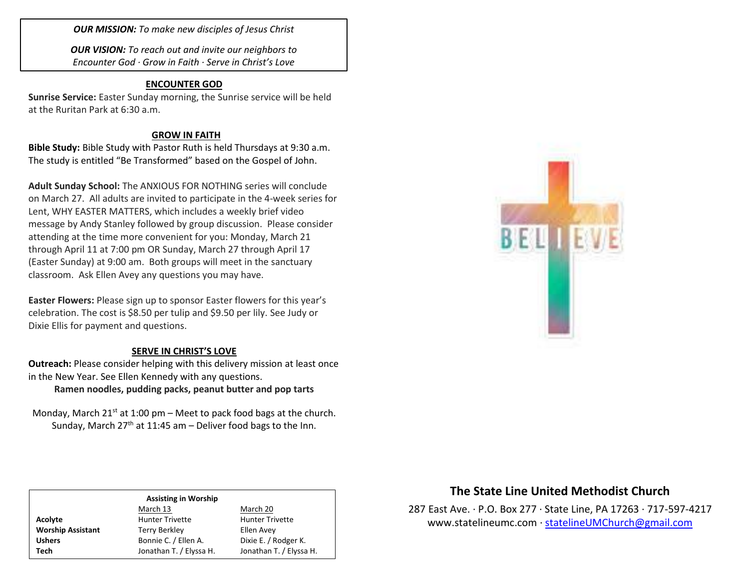*OUR MISSION: To make new disciples of Jesus Christ*

*OUR VISION: To reach out and invite our neighbors to Encounter God · Grow in Faith · Serve in Christ's Love*

#### **ENCOUNTER GOD**

**Sunrise Service:** Easter Sunday morning, the Sunrise service will be held at the Ruritan Park at 6:30 a.m.

### **GROW IN FAITH**

**Bible Study:** Bible Study with Pastor Ruth is held Thursdays at 9:30 a.m. The study is entitled "Be Transformed" based on the Gospel of John.

**Adult Sunday School:** The ANXIOUS FOR NOTHING series will conclude on March 27. All adults are invited to participate in the 4-week series for Lent, WHY EASTER MATTERS, which includes a weekly brief video message by Andy Stanley followed by group discussion. Please consider attending at the time more convenient for you: Monday, March 21 through April 11 at 7:00 pm OR Sunday, March 27 through April 17 (Easter Sunday) at 9:00 am. Both groups will meet in the sanctuary classroom. Ask Ellen Avey any questions you may have.

**Easter Flowers:** Please sign up to sponsor Easter flowers for this year's celebration. The cost is \$8.50 per tulip and \$9.50 per lily. See Judy or Dixie Ellis for payment and questions.

### **SERVE IN CHRIST'S LOVE**

**Outreach:** Please consider helping with this delivery mission at least once in the New Year. See Ellen Kennedy with any questions. **Ramen noodles, pudding packs, peanut butter and pop tarts**

Monday, March  $21^{st}$  at 1:00 pm – Meet to pack food bags at the church. Sunday, March  $27<sup>th</sup>$  at 11:45 am – Deliver food bags to the Inn.



## **The State Line United Methodist Church**

287 East Ave. · P.O. Box 277 · State Line, PA 17263 · 717-597-4217 [www.statelineumc.com](http://www.statelineumc.com/) · [statelineUMChurch@gmail.com](mailto:statelineUMChurch@gmail.com)

# **Assisting in Worship**

March 13 March 20 Acolyte **Acolyte** Hunter Trivette **Hunter Trivette Worship Assistant** Terry Berkley **Terry Berkley** Ellen Avey

Ushers Bonnie C. / Ellen A. Dixie E. / Rodger K. **Tech** Jonathan T. / Elyssa H. Jonathan T. / Elyssa H.